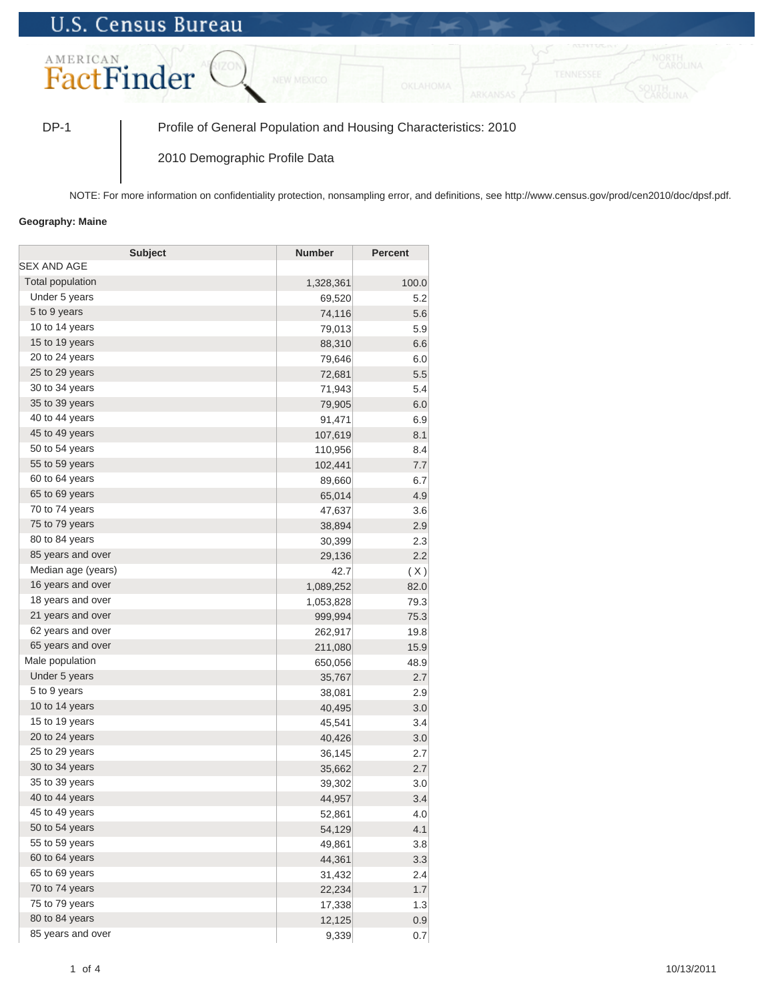## **U.S. Census Bureau**



DP-1 Profile of General Population and Housing Characteristics: 2010

2010 Demographic Profile Data

NOTE: For more information on confidentiality protection, nonsampling error, and definitions, see http://www.census.gov/prod/cen2010/doc/dpsf.pdf.

## **Geography: Maine**

| <b>Subject</b>     | Number    | <b>Percent</b> |
|--------------------|-----------|----------------|
| SEX AND AGE        |           |                |
| Total population   | 1,328,361 | 100.0          |
| Under 5 years      | 69,520    | 5.2            |
| 5 to 9 years       | 74,116    | 5.6            |
| 10 to 14 years     | 79,013    | 5.9            |
| 15 to 19 years     | 88,310    | 6.6            |
| 20 to 24 years     | 79,646    | 6.0            |
| 25 to 29 years     | 72,681    | 5.5            |
| 30 to 34 years     | 71,943    | 5.4            |
| 35 to 39 years     | 79,905    | 6.0            |
| 40 to 44 years     | 91,471    | 6.9            |
| 45 to 49 years     | 107,619   | 8.1            |
| 50 to 54 years     | 110,956   | 8.4            |
| 55 to 59 years     | 102,441   | 7.7            |
| 60 to 64 years     | 89,660    | 6.7            |
| 65 to 69 years     | 65,014    | 4.9            |
| 70 to 74 years     | 47,637    | 3.6            |
| 75 to 79 years     | 38,894    | 2.9            |
| 80 to 84 years     | 30,399    | 2.3            |
| 85 years and over  | 29,136    | 2.2            |
| Median age (years) | 42.7      | (X)            |
| 16 years and over  | 1,089,252 | 82.0           |
| 18 years and over  | 1,053,828 | 79.3           |
| 21 years and over  | 999,994   | 75.3           |
| 62 years and over  | 262,917   | 19.8           |
| 65 years and over  | 211,080   | 15.9           |
| Male population    | 650,056   | 48.9           |
| Under 5 years      | 35,767    | 2.7            |
| 5 to 9 years       | 38,081    | 2.9            |
| 10 to 14 years     | 40,495    | 3.0            |
| 15 to 19 years     | 45,541    | 3.4            |
| 20 to 24 years     | 40,426    | 3.0            |
| 25 to 29 years     | 36,145    | 2.7            |
| 30 to 34 years     | 35,662    | 2.7            |
| 35 to 39 years     | 39,302    | 3.0            |
| 40 to 44 years     | 44,957    | 3.4            |
| 45 to 49 years     | 52,861    | 4.0            |
| 50 to 54 years     | 54,129    | 4.1            |
| 55 to 59 years     | 49,861    | 3.8            |
| 60 to 64 years     | 44,361    | 3.3            |
| 65 to 69 years     | 31,432    | 2.4            |
| 70 to 74 years     | 22,234    | 1.7            |
| 75 to 79 years     | 17,338    | 1.3            |
| 80 to 84 years     | 12,125    | 0.9            |
| 85 years and over  | 9,339     | 0.7            |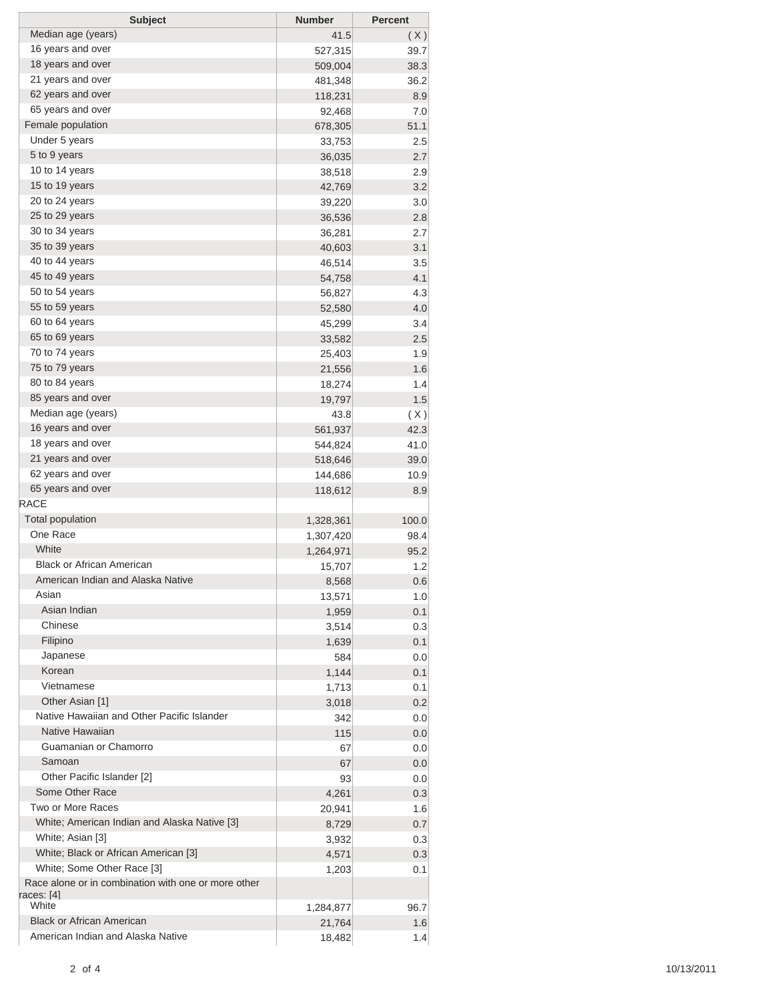| <b>Subject</b>                                      | <b>Number</b> | <b>Percent</b> |
|-----------------------------------------------------|---------------|----------------|
| Median age (years)                                  | 41.5          | (X)            |
| 16 years and over                                   | 527,315       | 39.7           |
| 18 years and over                                   | 509,004       | 38.3           |
| 21 years and over                                   | 481,348       | 36.2           |
| 62 years and over                                   | 118,231       | 8.9            |
| 65 years and over                                   | 92,468        | 7.0            |
| Female population                                   | 678,305       | 51.1           |
| Under 5 years                                       | 33,753        | 2.5            |
| 5 to 9 years                                        | 36,035        | 2.7            |
| 10 to 14 years                                      | 38,518        | 2.9            |
| 15 to 19 years                                      | 42,769        | 3.2            |
| 20 to 24 years                                      | 39,220        | 3.0            |
| 25 to 29 years                                      | 36,536        | 2.8            |
| 30 to 34 years                                      | 36,281        | 2.7            |
| 35 to 39 years                                      | 40,603        | 3.1            |
| 40 to 44 years                                      | 46,514        | 3.5            |
| 45 to 49 years                                      | 54,758        | 4.1            |
| 50 to 54 years                                      | 56,827        | 4.3            |
| 55 to 59 years                                      | 52,580        | 4.0            |
| 60 to 64 years                                      | 45,299        | 3.4            |
| 65 to 69 years                                      | 33,582        | 2.5            |
| 70 to 74 years                                      |               |                |
| 75 to 79 years                                      | 25,403        | 1.9            |
| 80 to 84 years                                      | 21,556        | 1.6            |
|                                                     | 18,274        | 1.4            |
| 85 years and over                                   | 19,797        | 1.5            |
| Median age (years)                                  | 43.8          | (X)            |
| 16 years and over                                   | 561,937       | 42.3           |
| 18 years and over                                   | 544,824       | 41.0           |
| 21 years and over                                   | 518,646       | 39.0           |
| 62 years and over                                   | 144,686       | 10.9           |
| 65 years and over                                   | 118,612       | 8.9            |
| <b>RACE</b>                                         |               |                |
| <b>Total population</b>                             | 1,328,361     | 100.0          |
| One Race                                            | 1,307,420     | 98.4           |
| White                                               | 1,264,971     | 95.2           |
| <b>Black or African American</b>                    | 15,707        | 1.2            |
| American Indian and Alaska Native                   | 8,568         | 0.6            |
| Asian                                               | 13,571        | 1.0            |
| Asian Indian                                        | 1,959         | 0.1            |
| Chinese                                             | 3,514         | 0.3            |
| Filipino                                            | 1,639         | 0.1            |
| Japanese                                            | 584           | 0.0            |
| Korean                                              | 1,144         | 0.1            |
| Vietnamese                                          | 1,713         | 0.1            |
| Other Asian [1]                                     | 3,018         | 0.2            |
| Native Hawaiian and Other Pacific Islander          | 342           | 0.0            |
| Native Hawaiian                                     | 115           | 0.0            |
| Guamanian or Chamorro                               | 67            | 0.0            |
| Samoan                                              | 67            | 0.0            |
| Other Pacific Islander [2]                          | 93            | 0.0            |
| Some Other Race                                     | 4,261         | 0.3            |
| Two or More Races                                   | 20,941        | 1.6            |
| White; American Indian and Alaska Native [3]        | 8,729         | 0.7            |
| White; Asian [3]                                    | 3,932         | 0.3            |
| White; Black or African American [3]                | 4,571         | 0.3            |
| White; Some Other Race [3]                          | 1,203         | 0.1            |
| Race alone or in combination with one or more other |               |                |
| races: [4]                                          |               |                |
| White                                               | 1,284,877     | 96.7           |
| <b>Black or African American</b>                    | 21,764        | 1.6            |
| American Indian and Alaska Native                   | 18,482        | 1.4            |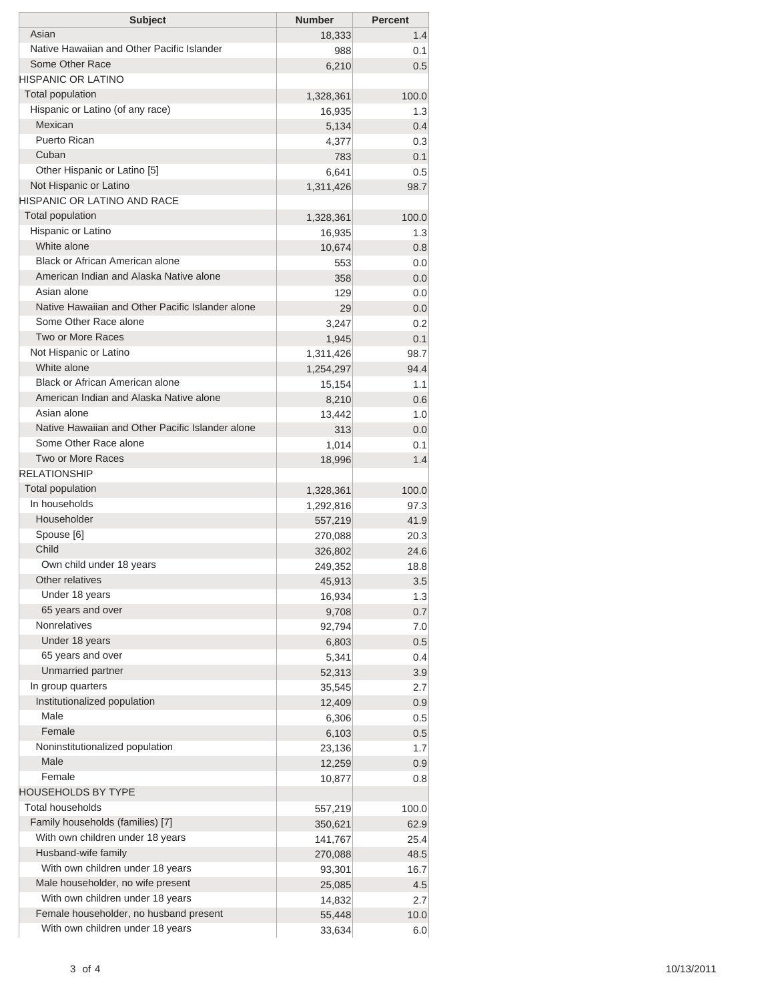| <b>Subject</b>                                                | <b>Number</b>       | <b>Percent</b> |
|---------------------------------------------------------------|---------------------|----------------|
| Asian                                                         | 18,333              | 1.4            |
| Native Hawaiian and Other Pacific Islander<br>Some Other Race | 988                 | 0.1            |
| HISPANIC OR LATINO                                            | 6,210               | 0.5            |
| <b>Total population</b>                                       |                     |                |
| Hispanic or Latino (of any race)                              | 1,328,361<br>16,935 | 100.0<br>1.3   |
| Mexican                                                       | 5,134               | 0.4            |
| Puerto Rican                                                  | 4,377               | 0.3            |
| Cuban                                                         | 783                 | 0.1            |
| Other Hispanic or Latino [5]                                  | 6,641               | 0.5            |
| Not Hispanic or Latino                                        | 1,311,426           | 98.7           |
| HISPANIC OR LATINO AND RACE                                   |                     |                |
| <b>Total population</b>                                       | 1,328,361           | 100.0          |
| Hispanic or Latino                                            | 16,935              | 1.3            |
| White alone                                                   | 10,674              | 0.8            |
| Black or African American alone                               | 553                 | 0.0            |
| American Indian and Alaska Native alone                       | 358                 | 0.0            |
| Asian alone                                                   | 129                 | 0.0            |
| Native Hawaiian and Other Pacific Islander alone              | 29                  | 0.0            |
| Some Other Race alone                                         | 3,247               | 0.2            |
| Two or More Races                                             | 1,945               | 0.1            |
| Not Hispanic or Latino                                        | 1,311,426           | 98.7           |
| White alone                                                   | 1,254,297           | 94.4           |
| Black or African American alone                               | 15,154              | 1.1            |
| American Indian and Alaska Native alone                       | 8,210               | 0.6            |
| Asian alone                                                   | 13,442              | 1.0            |
| Native Hawaiian and Other Pacific Islander alone              | 313                 | 0.0            |
| Some Other Race alone                                         | 1,014               | 0.1            |
| Two or More Races                                             | 18,996              | 1.4            |
| <b>RELATIONSHIP</b>                                           |                     |                |
| <b>Total population</b><br>In households                      | 1,328,361           | 100.0          |
| Householder                                                   | 1,292,816           | 97.3           |
| Spouse [6]                                                    | 557,219             | 41.9           |
| Child                                                         | 270,088             | 20.3<br>24.6   |
| Own child under 18 years                                      | 326,802<br>249,352  | 18.8           |
| Other relatives                                               | 45,913              | 3.5            |
| Under 18 years                                                | 16,934              | 1.3            |
| 65 years and over                                             | 9,708               | 0.7            |
| <b>Nonrelatives</b>                                           | 92,794              | 7.0            |
| Under 18 years                                                | 6,803               | 0.5            |
| 65 years and over                                             | 5,341               | 0.4            |
| Unmarried partner                                             | 52,313              | 3.9            |
| In group quarters                                             | 35,545              | 2.7            |
| Institutionalized population                                  | 12,409              | 0.9            |
| Male                                                          | 6,306               | 0.5            |
| Female                                                        | 6,103               | 0.5            |
| Noninstitutionalized population                               | 23,136              | 1.7            |
| Male                                                          | 12,259              | 0.9            |
| Female                                                        | 10,877              | 0.8            |
| <b>HOUSEHOLDS BY TYPE</b>                                     |                     |                |
| <b>Total households</b>                                       | 557,219             | 100.0          |
| Family households (families) [7]                              | 350,621             | 62.9           |
| With own children under 18 years                              | 141,767             | 25.4           |
| Husband-wife family                                           | 270,088             | 48.5           |
| With own children under 18 years                              | 93,301              | 16.7           |
| Male householder, no wife present                             | 25,085              | 4.5            |
| With own children under 18 years                              | 14,832              | 2.7            |
| Female householder, no husband present                        | 55,448              | 10.0           |
| With own children under 18 years                              | 33,634              | 6.0            |